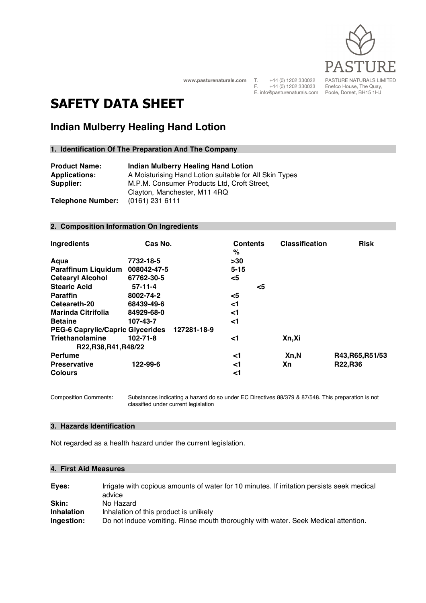

**www.pasturenaturals.com**

T. +44 (0) 1202 330022<br>F. +44 (0) 1202 330033  $+44(0)$  1202 330033 E. info@pasturenaturals.com PASTURE NATURALS LIMITED Enefco House, The Quay, Poole, Dorset, BH15 1HJ

# **SAFETY DATA SHEET**

## **Indian Mulberry Healing Hand Lotion**

## **1. Identification Of The Preparation And The Company**

| <b>Product Name:</b>     | <b>Indian Mulberry Healing Hand Lotion</b>             |
|--------------------------|--------------------------------------------------------|
| <b>Applications:</b>     | A Moisturising Hand Lotion suitable for All Skin Types |
| Supplier:                | M.P.M. Consumer Products Ltd, Croft Street,            |
|                          | Clayton, Manchester, M11 4RQ                           |
| <b>Telephone Number:</b> | $(0161)$ 231 6111                                      |

#### **2. Composition Information On Ingredients**

| Ingredients                              | Cas No.     |             | <b>Contents</b><br>% |    | <b>Classification</b> | <b>Risk</b>      |
|------------------------------------------|-------------|-------------|----------------------|----|-----------------------|------------------|
| Aqua                                     | 7732-18-5   |             | >30                  |    |                       |                  |
| <b>Paraffinum Liquidum</b>               | 008042-47-5 |             | $5 - 15$             |    |                       |                  |
| <b>Cetearyl Alcohol</b>                  | 67762-30-5  |             | $<$ 5                |    |                       |                  |
| <b>Stearic Acid</b>                      | $57-11-4$   |             |                      | <5 |                       |                  |
| <b>Paraffin</b>                          | 8002-74-2   |             | $<$ 5                |    |                       |                  |
| Ceteareth-20                             | 68439-49-6  |             | <1                   |    |                       |                  |
| <b>Marinda Citrifolia</b>                | 84929-68-0  |             | <1                   |    |                       |                  |
| <b>Betaine</b>                           | 107-43-7    |             | <1                   |    |                       |                  |
| <b>PEG-6 Caprylic/Capric Glycerides</b>  |             | 127281-18-9 |                      |    |                       |                  |
| Triethanolamine<br>R22, R38, R41, R48/22 | 102-71-8    |             | ا>                   |    | Xn,Xi                 |                  |
| <b>Perfume</b>                           |             |             | <1                   |    | Xn,N                  | R43, R65, R51/53 |
| <b>Preservative</b>                      | 122-99-6    |             | <1                   |    | Xn                    | R22,R36          |
| <b>Colours</b>                           |             |             | <1                   |    |                       |                  |

Composition Comments: Substances indicating a hazard do so under EC Directives 88/379 & 87/548. This preparation is not classified under current legislation

#### **3. Hazards Identification**

Not regarded as a health hazard under the current legislation.

#### **4. First Aid Measures**

| Eyes:             | Irrigate with copious amounts of water for 10 minutes. If irritation persists seek medical<br>advice |
|-------------------|------------------------------------------------------------------------------------------------------|
| Skin:             | No Hazard                                                                                            |
| <b>Inhalation</b> | Inhalation of this product is unlikely                                                               |
| Ingestion:        | Do not induce vomiting. Rinse mouth thoroughly with water. Seek Medical attention.                   |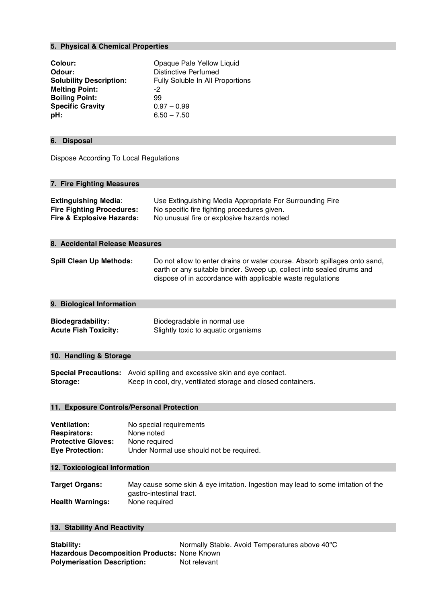## **5. Physical & Chemical Properties**

| Colour:<br>Odour:<br><b>Solubility Description:</b><br><b>Melting Point:</b><br><b>Boiling Point:</b><br><b>Specific Gravity</b><br>pH:                                   | Opaque Pale Yellow Liquid<br><b>Distinctive Perfumed</b><br>Fully Soluble In All Proportions<br>-2<br>99<br>$0.97 - 0.99$<br>$6.50 - 7.50$                                                                       |  |  |  |
|---------------------------------------------------------------------------------------------------------------------------------------------------------------------------|------------------------------------------------------------------------------------------------------------------------------------------------------------------------------------------------------------------|--|--|--|
| <b>Disposal</b><br>6.                                                                                                                                                     |                                                                                                                                                                                                                  |  |  |  |
| Dispose According To Local Regulations                                                                                                                                    |                                                                                                                                                                                                                  |  |  |  |
| 7. Fire Fighting Measures                                                                                                                                                 |                                                                                                                                                                                                                  |  |  |  |
| <b>Extinguishing Media:</b><br><b>Fire Fighting Procedures:</b><br><b>Fire &amp; Explosive Hazards:</b>                                                                   | Use Extinguishing Media Appropriate For Surrounding Fire<br>No specific fire fighting procedures given.<br>No unusual fire or explosive hazards noted                                                            |  |  |  |
| 8. Accidental Release Measures                                                                                                                                            |                                                                                                                                                                                                                  |  |  |  |
| <b>Spill Clean Up Methods:</b>                                                                                                                                            | Do not allow to enter drains or water course. Absorb spillages onto sand,<br>earth or any suitable binder. Sweep up, collect into sealed drums and<br>dispose of in accordance with applicable waste regulations |  |  |  |
| 9. Biological Information                                                                                                                                                 |                                                                                                                                                                                                                  |  |  |  |
| <b>Biodegradability:</b><br><b>Acute Fish Toxicity:</b>                                                                                                                   | Biodegradable in normal use<br>Slightly toxic to aquatic organisms                                                                                                                                               |  |  |  |
| 10. Handling & Storage                                                                                                                                                    |                                                                                                                                                                                                                  |  |  |  |
| Storage:                                                                                                                                                                  | Special Precautions: Avoid spilling and excessive skin and eye contact.<br>Keep in cool, dry, ventilated storage and closed containers.                                                                          |  |  |  |
| 11. Exposure Controls/Personal Protection                                                                                                                                 |                                                                                                                                                                                                                  |  |  |  |
| <b>Ventilation:</b><br><b>Respirators:</b><br><b>Protective Gloves:</b><br><b>Eye Protection:</b>                                                                         | No special requirements<br>None noted<br>None required<br>Under Normal use should not be required.                                                                                                               |  |  |  |
| 12. Toxicological Information                                                                                                                                             |                                                                                                                                                                                                                  |  |  |  |
| <b>Target Organs:</b><br><b>Health Warnings:</b>                                                                                                                          | May cause some skin & eye irritation. Ingestion may lead to some irritation of the<br>gastro-intestinal tract.<br>None required                                                                                  |  |  |  |
| 13. Stability And Reactivity                                                                                                                                              |                                                                                                                                                                                                                  |  |  |  |
| Normally Stable. Avoid Temperatures above 40°C<br><b>Stability:</b><br>Hazardous Decomposition Products: None Known<br><b>Polymerisation Description:</b><br>Not relevant |                                                                                                                                                                                                                  |  |  |  |